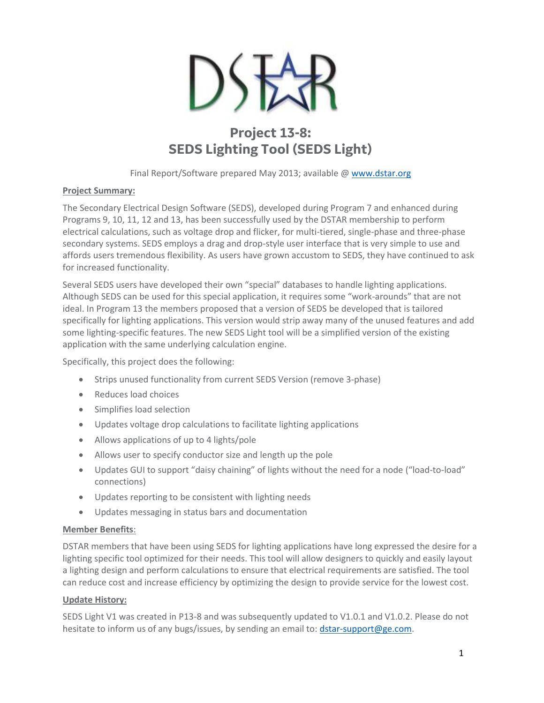

# **Project 13-8: SEDS Lighting Tool (SEDS Light)**

Final Report/Software prepared May 2013; available @ [www.dstar.org](http://www.dstar.org/research/project/92/P13-8-seds-lighting-tool)

## **Project Summary:**

The Secondary Electrical Design Software (SEDS), developed during Program 7 and enhanced during Programs 9, 10, 11, 12 and 13, has been successfully used by the DSTAR membership to perform electrical calculations, such as voltage drop and flicker, for multi-tiered, single-phase and three-phase secondary systems. SEDS employs a drag and drop-style user interface that is very simple to use and affords users tremendous flexibility. As users have grown accustom to SEDS, they have continued to ask for increased functionality.

Several SEDS users have developed their own "special" databases to handle lighting applications. Although SEDS can be used for this special application, it requires some "work-arounds" that are not ideal. In Program 13 the members proposed that a version of SEDS be developed that is tailored specifically for lighting applications. This version would strip away many of the unused features and add some lighting-specific features. The new SEDS Light tool will be a simplified version of the existing application with the same underlying calculation engine.

Specifically, this project does the following:

- Strips unused functionality from current SEDS Version (remove 3-phase)
- Reduces load choices
- Simplifies load selection
- Updates voltage drop calculations to facilitate lighting applications
- Allows applications of up to 4 lights/pole
- Allows user to specify conductor size and length up the pole
- Updates GUI to support "daisy chaining" of lights without the need for a node ("load-to-load" connections)
- Updates reporting to be consistent with lighting needs
- Updates messaging in status bars and documentation

### **Member Benefits**:

DSTAR members that have been using SEDS for lighting applications have long expressed the desire for a lighting specific tool optimized for their needs. This tool will allow designers to quickly and easily layout a lighting design and perform calculations to ensure that electrical requirements are satisfied. The tool can reduce cost and increase efficiency by optimizing the design to provide service for the lowest cost.

### **Update History:**

SEDS Light V1 was created in P13-8 and was subsequently updated to V1.0.1 and V1.0.2. Please do not hesitate to inform us of any bugs/issues, by sending an email to: [dstar-support@ge.com.](mailto:dstar-support@ge.com)